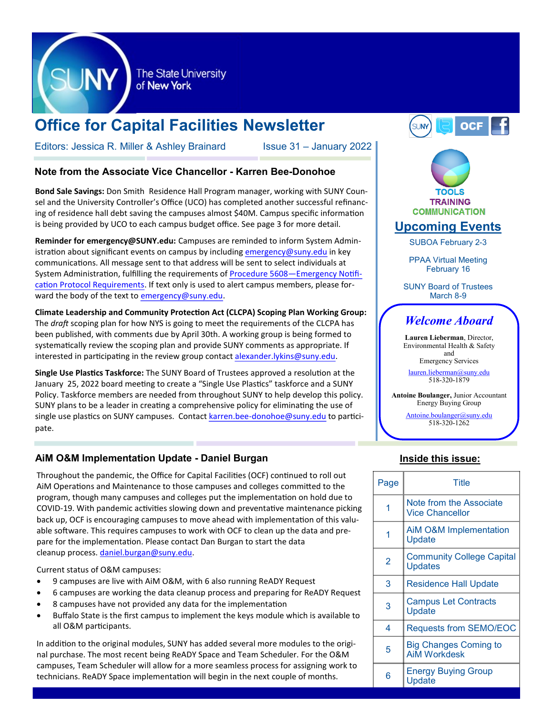

The State University of New York

# **Office for Capital Facilities Newsletter**

Editors: Jessica R. Miller & Ashley Brainard Issue 31 – January 2022

## **Note from the Associate Vice Chancellor - Karren Bee-Donohoe**

**Bond Sale Savings:** Don Smith, Residence Hall Program manager, working with SUNY Counsel and the University Controller's Office (UCO) has completed another successful refinancing of residence hall debt saving the campuses almost \$40M. Campus specific information is being provided by UCO to each campus budget office. See page 3 for more detail.

**Reminder for emergency@SUNY.edu:** Campuses are reminded to inform System Administration about significant events on campus by including [emergency@suny.edu](mailto:emergency@suny.edu) in key communications. All message sent to that address will be sent to select individuals at System Administration, fulfilling the requirements of Procedure 5608[—Emergency Notifi](https://www.suny.edu/sunypp/documents.cfm?doc_id=756)[cation Protocol Requirements.](https://www.suny.edu/sunypp/documents.cfm?doc_id=756) If text only is used to alert campus members, please forward the body of the text to [emergency@suny.edu.](mailto:emergency@suny.edu)

**Climate Leadership and Community Protection Act (CLCPA) Scoping Plan Working Group:**  The *draft* scoping plan for how NYS is going to meet the requirements of the CLCPA has been published, with comments due by April 30th. A working group is being formed to systematically review the scoping plan and provide SUNY comments as appropriate. If interested in participating in the review group contact [alexander.lykins@suny.edu.](mailto:alexander.lykins@suny.edu)

**Single Use Plastics Taskforce:** The SUNY Board of Trustees approved a resolution at the January 25, 2022 board meeting to create a "Single Use Plastics" taskforce and a SUNY Policy. Taskforce members are needed from throughout SUNY to help develop this policy. SUNY plans to be a leader in creating a comprehensive policy for eliminating the use of single use plastics on SUNY campuses. Contact karren.bee-[donohoe@suny.edu](mailto:karren.bee-donohoe@suny.edu) to participate.

# **AiM O&M Implementation Update - Daniel Burgan**

Throughout the pandemic, the Office for Capital Facilities (OCF) continued to roll out AiM Operations and Maintenance to those campuses and colleges committed to the program, though many campuses and colleges put the implementation on hold due to COVID-19. With pandemic activities slowing down and preventative maintenance picking back up, OCF is encouraging campuses to move ahead with implementation of this valuable software. This requires campuses to work with OCF to clean up the data and prepare for the implementation. Please contact Dan Burgan to start the data cleanup process. [daniel.burgan@suny.edu.](mailto:daniel.burgan@suny.edu)

Current status of O&M campuses:

- 9 campuses are live with AiM O&M, with 6 also running ReADY Request
- 6 campuses are working the data cleanup process and preparing for ReADY Request
- 8 campuses have not provided any data for the implementation
- Buffalo State is the first campus to implement the keys module which is available to all O&M participants.

In addition to the original modules, SUNY has added several more modules to the original purchase. The most recent being ReADY Space and Team Scheduler. For the O&M campuses, Team Scheduler will allow for a more seamless process for assigning work to technicians. ReADY Space implementation will begin in the next couple of months.





[Antoine.boulanger@suny.edu](mailto:Antoine.boulanger@suny.edu) 518-320-1262

# **Inside this issue:**

| Page | Title                                               |
|------|-----------------------------------------------------|
| 1    | Note from the Associate<br><b>Vice Chancellor</b>   |
| 1    | <b>AiM O&amp;M Implementation</b><br>Update         |
| 2    | <b>Community College Capital</b><br><b>Updates</b>  |
| 3    | Residence Hall Update                               |
| 3    | <b>Campus Let Contracts</b><br>Update               |
| 4    | <b>Requests from SEMO/EOC</b>                       |
| 5    | <b>Big Changes Coming to</b><br><b>AiM Workdesk</b> |
| 6    | <b>Energy Buying Group</b><br>Update                |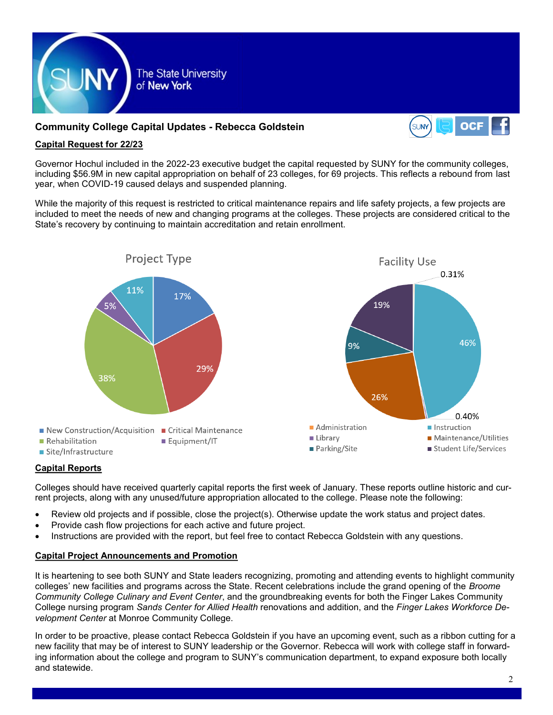

# **Community College Capital Updates - Rebecca Goldstein**



## **Capital Request for 22/23**

Governor Hochul included in the 2022-23 executive budget the capital requested by SUNY for the community colleges, including \$56.9M in new capital appropriation on behalf of 23 colleges, for 69 projects. This reflects a rebound from last year, when COVID-19 caused delays and suspended planning.

While the majority of this request is restricted to critical maintenance repairs and life safety projects, a few projects are included to meet the needs of new and changing programs at the colleges. These projects are considered critical to the State's recovery by continuing to maintain accreditation and retain enrollment.



# **Capital Reports**

Colleges should have received quarterly capital reports the first week of January. These reports outline historic and current projects, along with any unused/future appropriation allocated to the college. Please note the following:

- Review old projects and if possible, close the project(s). Otherwise update the work status and project dates.
- Provide cash flow projections for each active and future project.
- Instructions are provided with the report, but feel free to contact Rebecca Goldstein with any questions.

## **Capital Project Announcements and Promotion**

It is heartening to see both SUNY and State leaders recognizing, promoting and attending events to highlight community colleges' new facilities and programs across the State. Recent celebrations include the grand opening of the *Broome Community College Culinary and Event Center*, and the groundbreaking events for both the Finger Lakes Community College nursing program *Sands Center for Allied Health* renovations and addition, and the *Finger Lakes Workforce Development Center* at Monroe Community College.

In order to be proactive, please contact Rebecca Goldstein if you have an upcoming event, such as a ribbon cutting for a new facility that may be of interest to SUNY leadership or the Governor. Rebecca will work with college staff in forwarding information about the college and program to SUNY's communication department, to expand exposure both locally and statewide.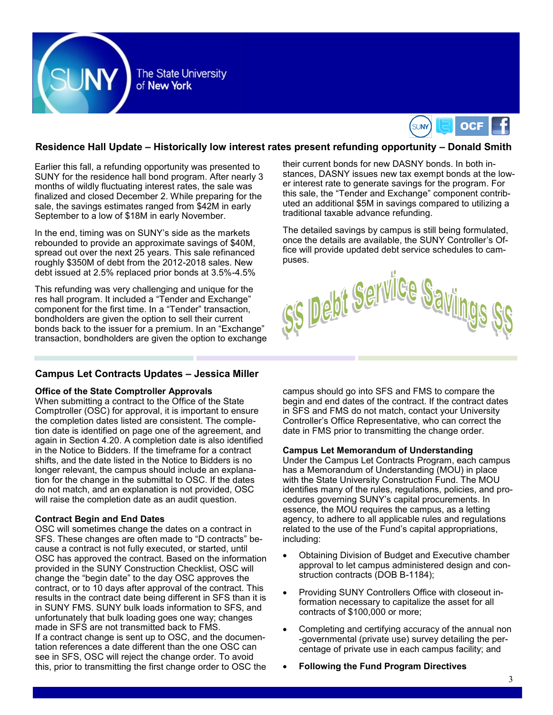



## **Residence Hall Update – Historically low interest rates present refunding opportunity – Donald Smith**

Earlier this fall, a refunding opportunity was presented to SUNY for the residence hall bond program. After nearly 3 months of wildly fluctuating interest rates, the sale was finalized and closed December 2. While preparing for the sale, the savings estimates ranged from \$42M in early September to a low of \$18M in early November.

In the end, timing was on SUNY's side as the markets rebounded to provide an approximate savings of \$40M, spread out over the next 25 years. This sale refinanced roughly \$350M of debt from the 2012-2018 sales. New debt issued at 2.5% replaced prior bonds at 3.5%-4.5%

This refunding was very challenging and unique for the res hall program. It included a "Tender and Exchange" component for the first time. In a "Tender" transaction, bondholders are given the option to sell their current bonds back to the issuer for a premium. In an "Exchange" transaction, bondholders are given the option to exchange

### **Campus Let Contracts Updates – Jessica Miller**

#### **Office of the State Comptroller Approvals**

When submitting a contract to the Office of the State Comptroller (OSC) for approval, it is important to ensure the completion dates listed are consistent. The completion date is identified on page one of the agreement, and again in Section 4.20. A completion date is also identified in the Notice to Bidders. If the timeframe for a contract shifts, and the date listed in the Notice to Bidders is no longer relevant, the campus should include an explanation for the change in the submittal to OSC. If the dates do not match, and an explanation is not provided, OSC will raise the completion date as an audit question.

#### **Contract Begin and End Dates**

OSC will sometimes change the dates on a contract in SFS. These changes are often made to "D contracts" because a contract is not fully executed, or started, until OSC has approved the contract. Based on the information provided in the SUNY Construction Checklist, OSC will change the "begin date" to the day OSC approves the contract, or to 10 days after approval of the contract. This results in the contract date being different in SFS than it is in SUNY FMS. SUNY bulk loads information to SFS, and unfortunately that bulk loading goes one way; changes made in SFS are not transmitted back to FMS. If a contract change is sent up to OSC, and the documentation references a date different than the one OSC can see in SFS, OSC will reject the change order. To avoid this, prior to transmitting the first change order to OSC the

their current bonds for new DASNY bonds. In both instances, DASNY issues new tax exempt bonds at the lower interest rate to generate savings for the program. For this sale, the "Tender and Exchange" component contributed an additional \$5M in savings compared to utilizing a traditional taxable advance refunding.

The detailed savings by campus is still being formulated, once the details are available, the SUNY Controller's Office will provide updated debt service schedules to campuses.



campus should go into SFS and FMS to compare the begin and end dates of the contract. If the contract dates in SFS and FMS do not match, contact your University Controller's Office Representative, who can correct the date in FMS prior to transmitting the change order.

#### **Campus Let Memorandum of Understanding**

Under the Campus Let Contracts Program, each campus has a Memorandum of Understanding (MOU) in place with the State University Construction Fund. The MOU identifies many of the rules, regulations, policies, and procedures governing SUNY's capital procurements. In essence, the MOU requires the campus, as a letting agency, to adhere to all applicable rules and regulations related to the use of the Fund's capital appropriations, including:

- Obtaining Division of Budget and Executive chamber approval to let campus administered design and construction contracts (DOB B-1184);
- Providing SUNY Controllers Office with closeout information necessary to capitalize the asset for all contracts of \$100,000 or more;
- Completing and certifying accuracy of the annual non -governmental (private use) survey detailing the percentage of private use in each campus facility; and
- **Following the Fund Program Directives**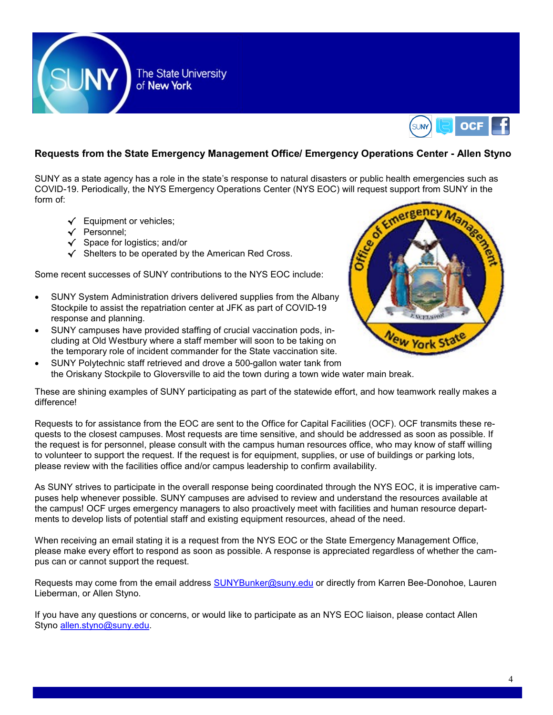



# **Requests from the State Emergency Management Office/ Emergency Operations Center - Allen Styno**

SUNY as a state agency has a role in the state's response to natural disasters or public health emergencies such as COVID-19. Periodically, the NYS Emergency Operations Center (NYS EOC) will request support from SUNY in the form of:

- √ Equipment or vehicles;
- √ Personnel;
- √ Space for logistics; and/or
- √ Shelters to be operated by the American Red Cross.

Some recent successes of SUNY contributions to the NYS EOC include:

- SUNY System Administration drivers delivered supplies from the Albany Stockpile to assist the repatriation center at JFK as part of COVID-19 response and planning.
- SUNY campuses have provided staffing of crucial vaccination pods, including at Old Westbury where a staff member will soon to be taking on the temporary role of incident commander for the State vaccination site.



• SUNY Polytechnic staff retrieved and drove a 500-gallon water tank from the Oriskany Stockpile to Gloversville to aid the town during a town wide water main break.

These are shining examples of SUNY participating as part of the statewide effort, and how teamwork really makes a difference!

Requests to for assistance from the EOC are sent to the Office for Capital Facilities (OCF). OCF transmits these requests to the closest campuses. Most requests are time sensitive, and should be addressed as soon as possible. If the request is for personnel, please consult with the campus human resources office, who may know of staff willing to volunteer to support the request. If the request is for equipment, supplies, or use of buildings or parking lots, please review with the facilities office and/or campus leadership to confirm availability.

As SUNY strives to participate in the overall response being coordinated through the NYS EOC, it is imperative campuses help whenever possible. SUNY campuses are advised to review and understand the resources available at the campus! OCF urges emergency managers to also proactively meet with facilities and human resource departments to develop lists of potential staff and existing equipment resources, ahead of the need.

When receiving an email stating it is a request from the NYS EOC or the State Emergency Management Office, please make every effort to respond as soon as possible. A response is appreciated regardless of whether the campus can or cannot support the request.

Requests may come from the email address [SUNYBunker@suny.edu](mailto:SUNYBunker@suny.edu) or directly from Karren Bee-Donohoe, Lauren Lieberman, or Allen Styno.

If you have any questions or concerns, or would like to participate as an NYS EOC liaison, please contact Allen Styno [allen.styno@suny.edu.](mailto:allen.styno@suny.edu)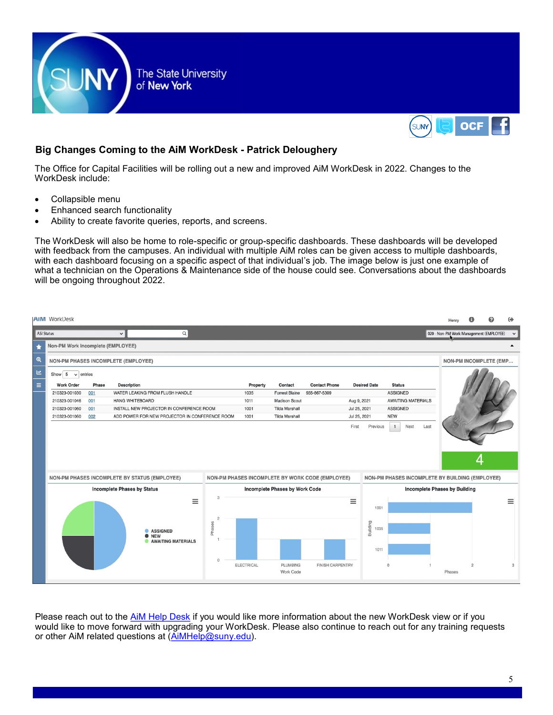



# **Big Changes Coming to the AiM WorkDesk - Patrick Deloughery**

The Office for Capital Facilities will be rolling out a new and improved AiM WorkDesk in 2022. Changes to the WorkDesk include:

- Collapsible menu
- Enhanced search functionality
- Ability to create favorite queries, reports, and screens.

The WorkDesk will also be home to role-specific or group-specific dashboards. These dashboards will be developed with feedback from the campuses. An individual with multiple AiM roles can be given access to multiple dashboards, with each dashboard focusing on a specific aspect of that individual's job. The image below is just one example of what a technician on the Operations & Maintenance side of the house could see. Conversations about the dashboards will be ongoing throughout 2022.

|                         | <b>AIM WorkDesk</b>                                     |                                                       |                                                                          |                                           |                      |                       |                                                  |              |                                      |                                                 |  | Henry                                   |                | ⊕             |  |
|-------------------------|---------------------------------------------------------|-------------------------------------------------------|--------------------------------------------------------------------------|-------------------------------------------|----------------------|-----------------------|--------------------------------------------------|--------------|--------------------------------------|-------------------------------------------------|--|-----------------------------------------|----------------|---------------|--|
|                         | ASI Status                                              |                                                       | $\Omega$<br>$\check{~}$                                                  |                                           |                      |                       |                                                  |              |                                      |                                                 |  | 020 - Non-PM Work Management (EMPLOYEE) |                | $\check{~}$   |  |
| $\star$                 | Non-PM Work Incomplete (EMPLOYEE)                       |                                                       |                                                                          |                                           |                      |                       |                                                  |              |                                      |                                                 |  |                                         |                |               |  |
| $\mathbf{\mathfrak{D}}$ | <b>NON-PM PHASES INCOMPLETE (EMPLOYEE)</b>              |                                                       |                                                                          |                                           |                      |                       |                                                  |              |                                      |                                                 |  | NON-PM INCOMPLETE (EMP                  |                |               |  |
| 년                       | Show $5 \times$ entries                                 |                                                       |                                                                          |                                           |                      |                       |                                                  |              |                                      |                                                 |  |                                         |                |               |  |
| $\equiv$                | <b>Work Order</b><br><b>Description</b><br>Phase        |                                                       |                                                                          |                                           | Property             | Contact               | <b>Contact Phone</b>                             |              | <b>Desired Date</b>                  | <b>Status</b>                                   |  |                                         |                |               |  |
|                         | WATER LEAKING FROM FLUSH HANDLE<br>210323-001030<br>001 |                                                       |                                                                          |                                           | 1035                 | <b>Forrest Blaine</b> | 555-867-5309                                     |              |                                      | <b>ASSIGNED</b>                                 |  |                                         |                |               |  |
|                         | 001<br>HANG WHITEBOARD<br>210323-001046                 |                                                       |                                                                          | 1011                                      | <b>Madison Scout</b> |                       | Aug 9, 2021                                      |              | <b>AWAITING MATERIALS</b>            |                                                 |  |                                         |                |               |  |
|                         | 210323-001060                                           | INSTALL NEW PROJECTOR IN CONFERENCE ROOM<br>001       |                                                                          |                                           | 1001                 | <b>Tilda Marshall</b> |                                                  |              | <b>ASSIGNED</b><br>Jul 25, 2021      |                                                 |  |                                         |                |               |  |
|                         | 210323-001060                                           | 002<br>ADD POWER FOR NEW PROJECTOR IN CONFERENCE ROOM |                                                                          |                                           | 1001                 | <b>Tilda Marshall</b> |                                                  | Jul 25, 2021 |                                      | <b>NEW</b>                                      |  |                                         |                |               |  |
|                         |                                                         |                                                       | NON-PM PHASES INCOMPLETE BY STATUS (EMPLOYEE)                            |                                           |                      |                       | NON-PM PHASES INCOMPLETE BY WORK CODE (EMPLOYEE) |              |                                      | NON-PM PHASES INCOMPLETE BY BUILDING (EMPLOYEE) |  |                                         |                |               |  |
|                         | <b>Incomplete Phases by Status</b>                      |                                                       |                                                                          | Incomplete Phases by Work Code            |                      |                       |                                                  |              | <b>Incomplete Phases by Building</b> |                                                 |  |                                         |                |               |  |
|                         |                                                         |                                                       |                                                                          |                                           |                      |                       |                                                  |              |                                      |                                                 |  |                                         |                |               |  |
|                         |                                                         |                                                       | $\equiv$<br><b>ASSIGNED</b><br><b>O</b> NEW<br><b>AWAITING MATERIALS</b> | 3<br>$\overline{c}$<br>Phases<br>$\Omega$ | <b>ELECTRICAL</b>    | <b>PLUMBING</b>       | <b>FINISH CARPENTRY</b>                          | Ξ            | 1001<br>Building<br>1035<br>1011     | $\Omega$                                        |  |                                         | $\overline{2}$ | $\equiv$<br>3 |  |
|                         |                                                         |                                                       |                                                                          |                                           |                      | Work Code             |                                                  |              |                                      |                                                 |  | Phases                                  |                |               |  |

Please reach out to the [AiM Help Desk](mailto:AiMHelp@suny.edu) if you would like more information about the new WorkDesk view or if you would like to move forward with upgrading your WorkDesk. Please also continue to reach out for any training requests or other AiM related questions at ([AiMHelp@suny.edu\)](mailto:AiMHelp@suny.edu).